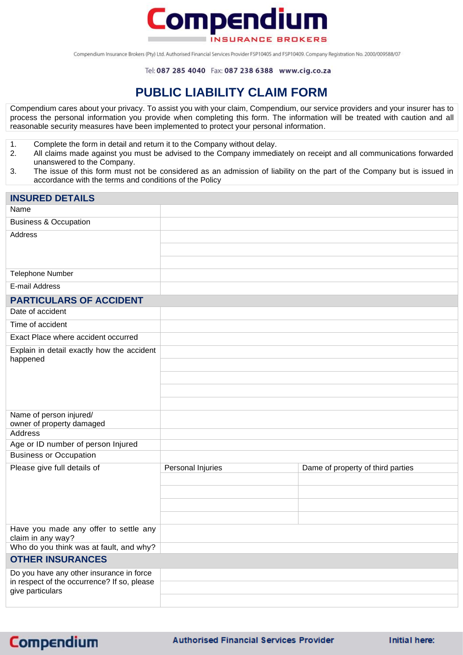

Compendium Insurance Brokers (Pty) Ltd. Authorised Financial Services Provider FSP10405 and FSP10409. Company Registration No. 2000/009588/07

## **PUBLIC LIABILITY CLAIM FORM**

Compendium cares about your privacy. To assist you with your claim, Compendium, our service providers and your insurer has to process the personal information you provide when completing this form. The information will be treated with caution and all reasonable security measures have been implemented to protect your personal information.

- 1. Complete the form in detail and return it to the Company without delay.
- 2. All claims made against you must be advised to the Company immediately on receipt and all communications forwarded unanswered to the Company.
- 3. The issue of this form must not be considered as an admission of liability on the part of the Company but is issued in accordance with the terms and conditions of the Policy

| <b>INSURED DETAILS</b>                                          |                   |                                   |
|-----------------------------------------------------------------|-------------------|-----------------------------------|
| Name                                                            |                   |                                   |
| <b>Business &amp; Occupation</b>                                |                   |                                   |
| Address                                                         |                   |                                   |
|                                                                 |                   |                                   |
|                                                                 |                   |                                   |
| <b>Telephone Number</b>                                         |                   |                                   |
| E-mail Address                                                  |                   |                                   |
| <b>PARTICULARS OF ACCIDENT</b>                                  |                   |                                   |
| Date of accident                                                |                   |                                   |
| Time of accident                                                |                   |                                   |
| Exact Place where accident occurred                             |                   |                                   |
| Explain in detail exactly how the accident                      |                   |                                   |
| happened                                                        |                   |                                   |
|                                                                 |                   |                                   |
|                                                                 |                   |                                   |
|                                                                 |                   |                                   |
| Name of person injured/<br>owner of property damaged            |                   |                                   |
| Address                                                         |                   |                                   |
| Age or ID number of person Injured                              |                   |                                   |
| <b>Business or Occupation</b>                                   |                   |                                   |
| Please give full details of                                     | Personal Injuries | Dame of property of third parties |
|                                                                 |                   |                                   |
|                                                                 |                   |                                   |
|                                                                 |                   |                                   |
| Have you made any offer to settle any                           |                   |                                   |
| claim in any way?                                               |                   |                                   |
| Who do you think was at fault, and why?                         |                   |                                   |
| <b>OTHER INSURANCES</b>                                         |                   |                                   |
| Do you have any other insurance in force                        |                   |                                   |
| in respect of the occurrence? If so, please<br>give particulars |                   |                                   |
|                                                                 |                   |                                   |